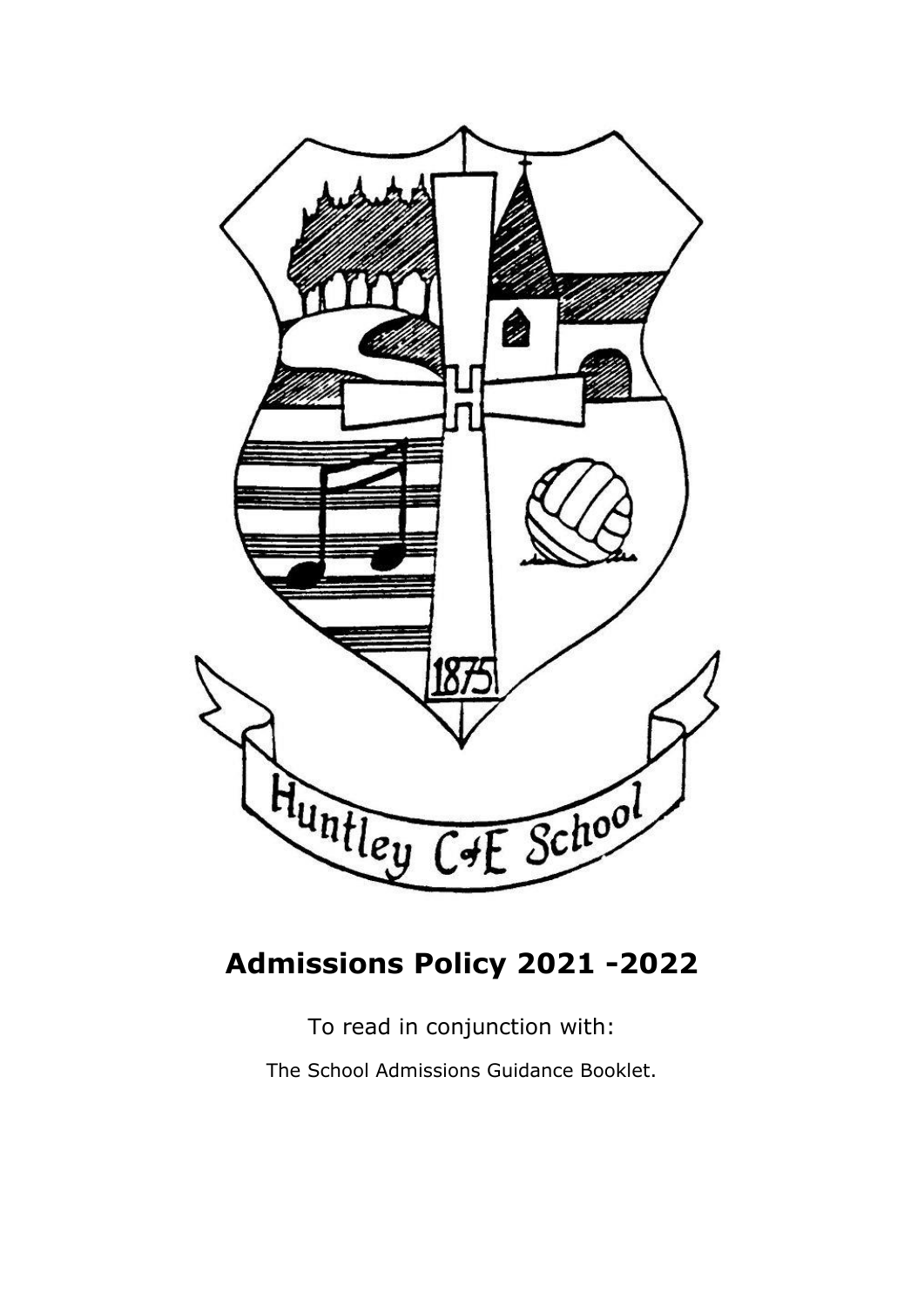

# **Admissions Policy 2021 -2022**

To read in conjunction with:

The School Admissions Guidance Booklet.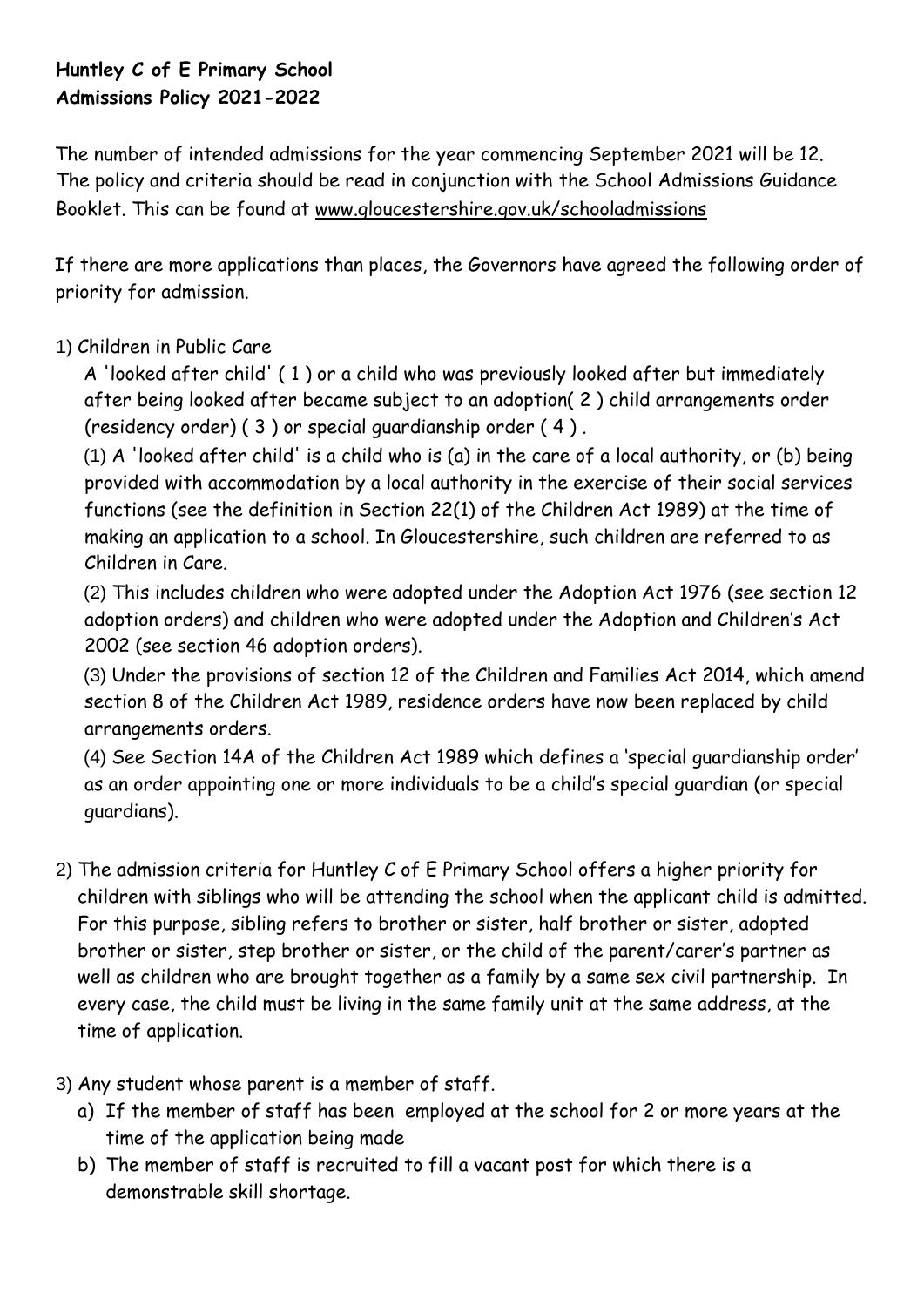# **Huntley C of E Primary School Admissions Policy 2021-2022**

The number of intended admissions for the year commencing September 2021 will be 12. The policy and criteria should be read in conjunction with the School Admissions Guidance Booklet. This can be found at [www.gloucestershire.gov.uk/schooladmissions](http://www.gloucestershire.gov.uk/schooladmissions)

If there are more applications than places, the Governors have agreed the following order of priority for admission.

# 1) Children in Public Care

A 'looked after child' ( 1 ) or a child who was previously looked after but immediately after being looked after became subject to an adoption( 2 ) child arrangements order (residency order) ( 3 ) or special guardianship order ( 4 ) .

(1) A 'looked after child' is a child who is (a) in the care of a local authority, or (b) being provided with accommodation by a local authority in the exercise of their social services functions (see the definition in Section 22(1) of the Children Act 1989) at the time of making an application to a school. In Gloucestershire, such children are referred to as Children in Care.

(2) This includes children who were adopted under the Adoption Act 1976 (see section 12 adoption orders) and children who were adopted under the Adoption and Children's Act 2002 (see section 46 adoption orders).

(3) Under the provisions of section 12 of the Children and Families Act 2014, which amend section 8 of the Children Act 1989, residence orders have now been replaced by child arrangements orders.

(4) See Section 14A of the Children Act 1989 which defines a 'special guardianship order' as an order appointing one or more individuals to be a child's special guardian (or special guardians).

- 2) The admission criteria for Huntley C of E Primary School offers a higher priority for children with siblings who will be attending the school when the applicant child is admitted. For this purpose, sibling refers to brother or sister, half brother or sister, adopted brother or sister, step brother or sister, or the child of the parent/carer's partner as well as children who are brought together as a family by a same sex civil partnership. In every case, the child must be living in the same family unit at the same address, at the time of application.
- 3) Any student whose parent is a member of staff.
	- a) If the member of staff has been employed at the school for 2 or more years at the time of the application being made
	- b) The member of staff is recruited to fill a vacant post for which there is a demonstrable skill shortage.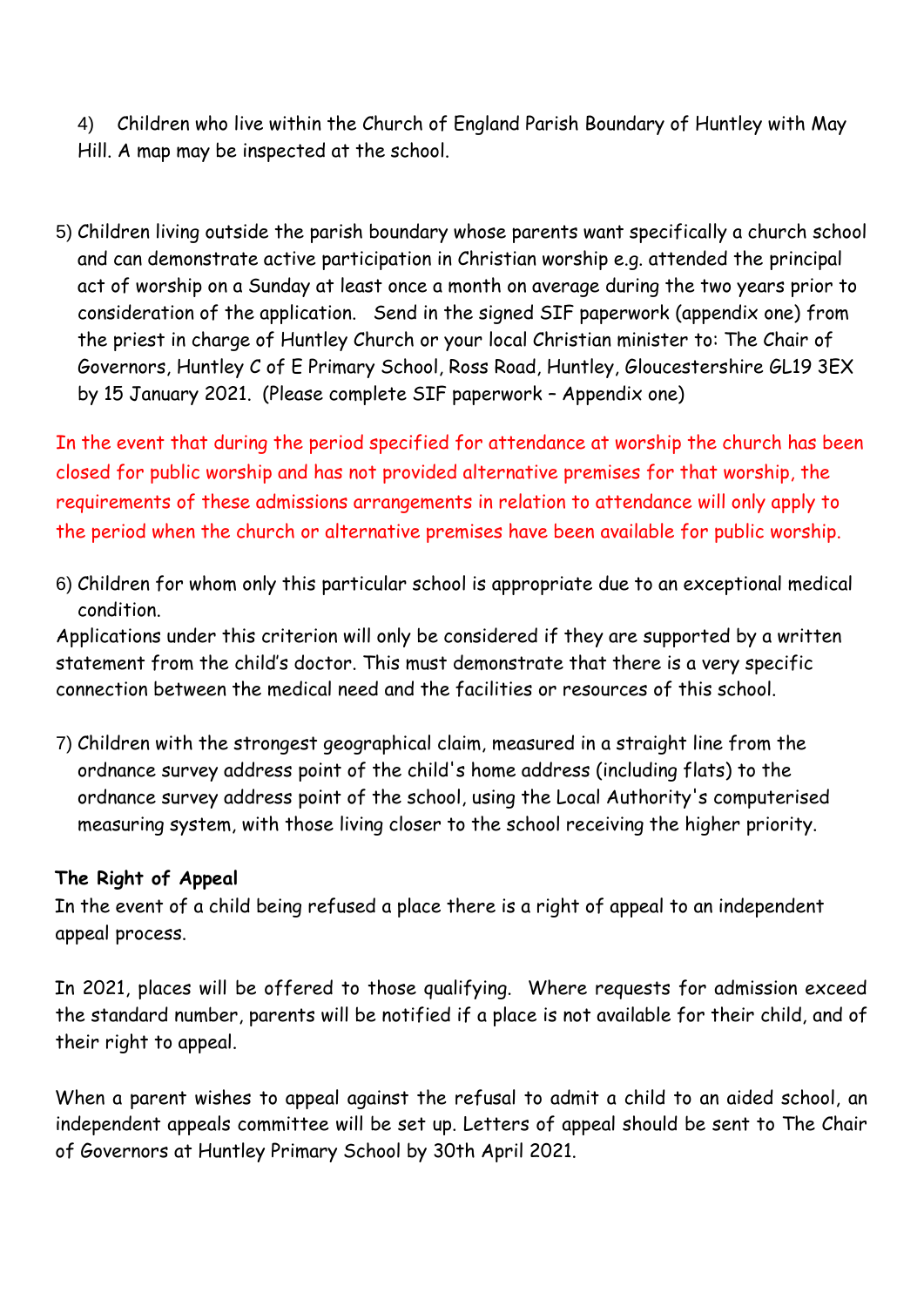4) Children who live within the Church of England Parish Boundary of Huntley with May Hill. A map may be inspected at the school.

5) Children living outside the parish boundary whose parents want specifically a church school and can demonstrate active participation in Christian worship e.g. attended the principal act of worship on a Sunday at least once a month on average during the two years prior to consideration of the application. Send in the signed SIF paperwork (appendix one) from the priest in charge of Huntley Church or your local Christian minister to: The Chair of Governors, Huntley C of E Primary School, Ross Road, Huntley, Gloucestershire GL19 3EX by 15 January 2021. (Please complete SIF paperwork – Appendix one)

In the event that during the period specified for attendance at worship the church has been closed for public worship and has not provided alternative premises for that worship, the requirements of these admissions arrangements in relation to attendance will only apply to the period when the church or alternative premises have been available for public worship.

6) Children for whom only this particular school is appropriate due to an exceptional medical condition.

Applications under this criterion will only be considered if they are supported by a written statement from the child's doctor. This must demonstrate that there is a very specific connection between the medical need and the facilities or resources of this school.

7) Children with the strongest geographical claim, measured in a straight line from the ordnance survey address point of the child's home address (including flats) to the ordnance survey address point of the school, using the Local Authority's computerised measuring system, with those living closer to the school receiving the higher priority.

## **The Right of Appeal**

In the event of a child being refused a place there is a right of appeal to an independent appeal process.

In 2021, places will be offered to those qualifying. Where requests for admission exceed the standard number, parents will be notified if a place is not available for their child, and of their right to appeal.

When a parent wishes to appeal against the refusal to admit a child to an aided school, an independent appeals committee will be set up. Letters of appeal should be sent to The Chair of Governors at Huntley Primary School by 30th April 2021.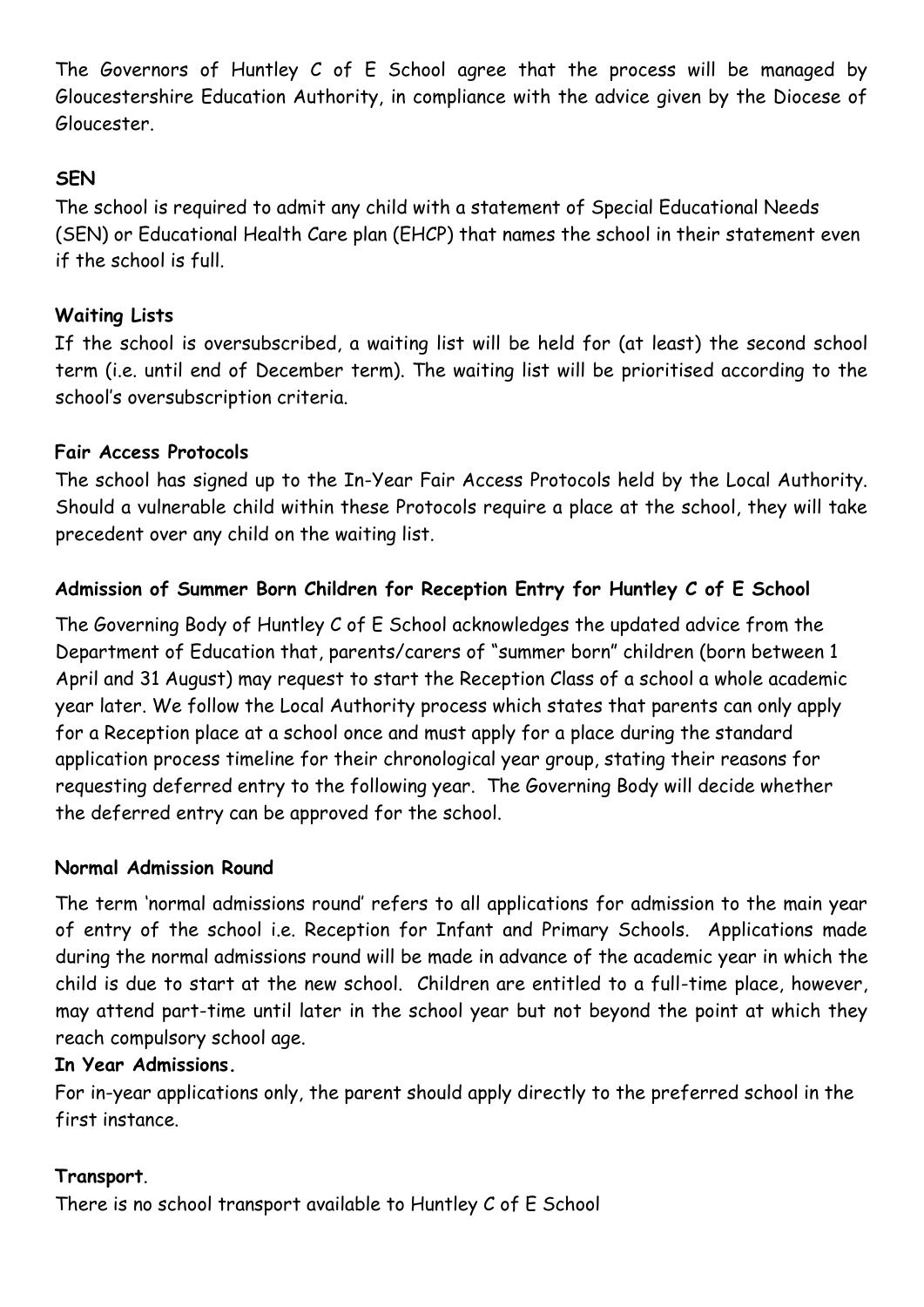The Governors of Huntley C of E School agree that the process will be managed by Gloucestershire Education Authority, in compliance with the advice given by the Diocese of Gloucester.

## **SEN**

The school is required to admit any child with a statement of Special Educational Needs (SEN) or Educational Health Care plan (EHCP) that names the school in their statement even if the school is full.

## **Waiting Lists**

If the school is oversubscribed, a waiting list will be held for (at least) the second school term (i.e. until end of December term). The waiting list will be prioritised according to the school's oversubscription criteria.

## **Fair Access Protocols**

The school has signed up to the In-Year Fair Access Protocols held by the Local Authority. Should a vulnerable child within these Protocols require a place at the school, they will take precedent over any child on the waiting list.

# **Admission of Summer Born Children for Reception Entry for Huntley C of E School**

The Governing Body of Huntley C of E School acknowledges the updated advice from the Department of Education that, parents/carers of "summer born" children (born between 1 April and 31 August) may request to start the Reception Class of a school a whole academic year later. We follow the Local Authority process which states that parents can only apply for a Reception place at a school once and must apply for a place during the standard application process timeline for their chronological year group, stating their reasons for requesting deferred entry to the following year. The Governing Body will decide whether the deferred entry can be approved for the school.

## **Normal Admission Round**

The term 'normal admissions round' refers to all applications for admission to the main year of entry of the school i.e. Reception for Infant and Primary Schools. Applications made during the normal admissions round will be made in advance of the academic year in which the child is due to start at the new school. Children are entitled to a full-time place, however, may attend part-time until later in the school year but not beyond the point at which they reach compulsory school age.

## **In Year Admissions.**

For in-year applications only, the parent should apply directly to the preferred school in the first instance.

## **Transport**.

There is no school transport available to Huntley C of E School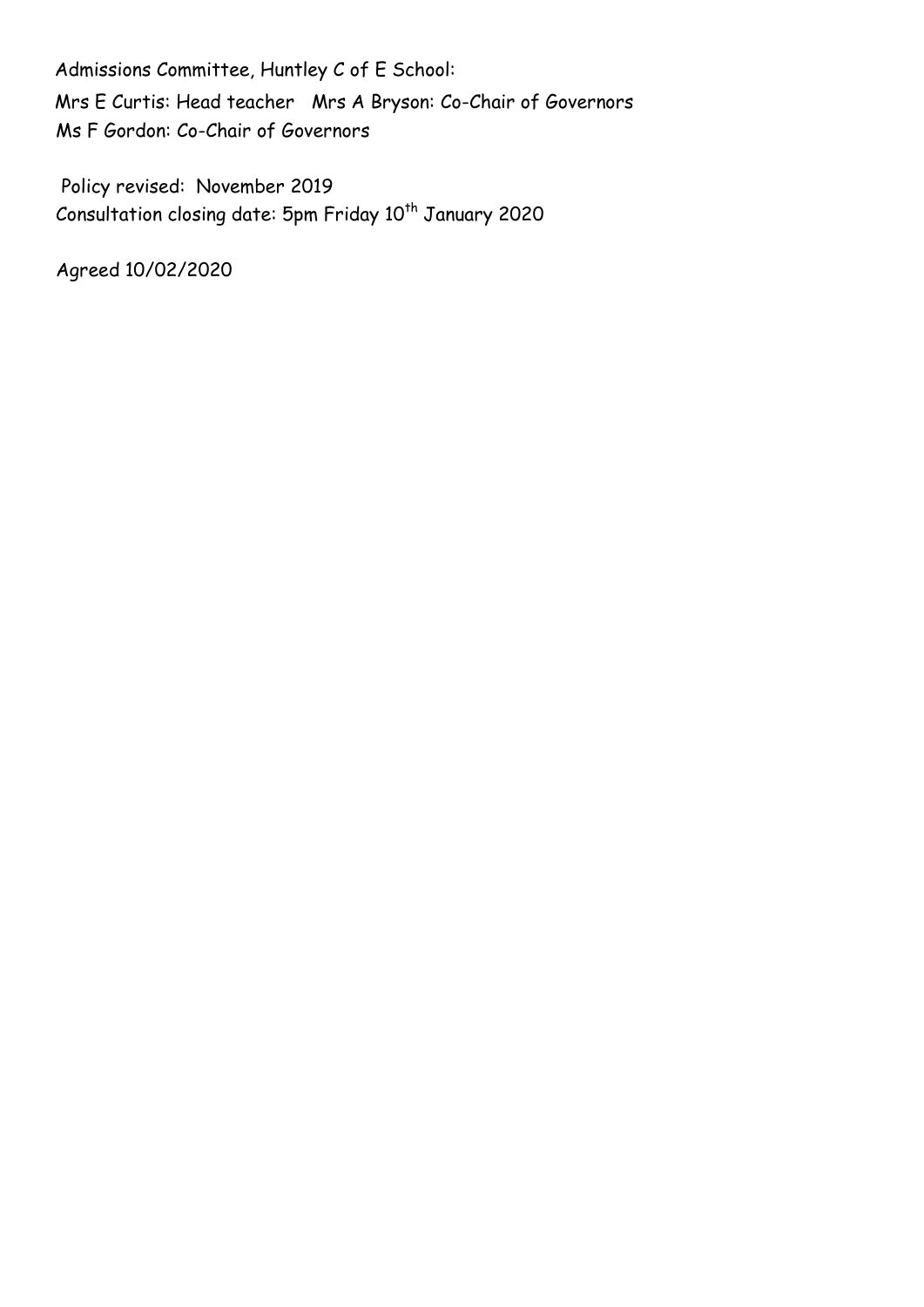Admissions Committee, Huntley C of E School: Mrs E Curtis: Head teacher Mrs A Bryson: Co-Chair of Governors Ms F Gordon: Co-Chair of Governors

Policy revised: November 2019  $Consultation closing date: 5pm Friday 10<sup>th</sup> January 2020$ 

Agreed 10/02/2020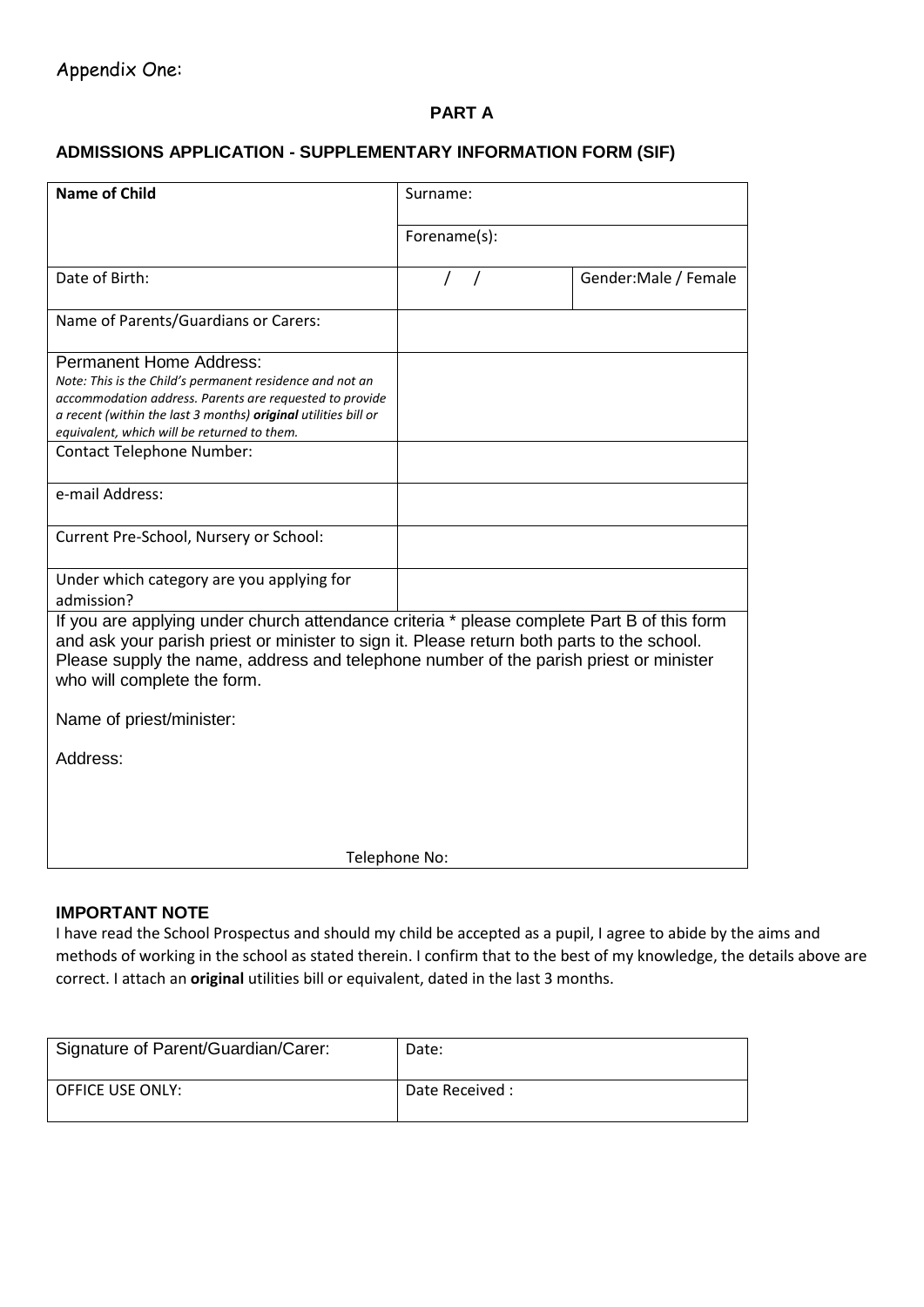#### **PART A**

#### **ADMISSIONS APPLICATION - SUPPLEMENTARY INFORMATION FORM (SIF)**

| <b>Name of Child</b>                                                                                                                                                                                                                                                                                             | Surname:     |                       |
|------------------------------------------------------------------------------------------------------------------------------------------------------------------------------------------------------------------------------------------------------------------------------------------------------------------|--------------|-----------------------|
|                                                                                                                                                                                                                                                                                                                  | Forename(s): |                       |
| Date of Birth:                                                                                                                                                                                                                                                                                                   |              | Gender: Male / Female |
| Name of Parents/Guardians or Carers:                                                                                                                                                                                                                                                                             |              |                       |
| <b>Permanent Home Address:</b><br>Note: This is the Child's permanent residence and not an<br>accommodation address. Parents are requested to provide<br>a recent (within the last 3 months) original utilities bill or<br>equivalent, which will be returned to them.<br><b>Contact Telephone Number:</b>       |              |                       |
| e-mail Address:                                                                                                                                                                                                                                                                                                  |              |                       |
| Current Pre-School, Nursery or School:                                                                                                                                                                                                                                                                           |              |                       |
| Under which category are you applying for<br>admission?                                                                                                                                                                                                                                                          |              |                       |
| If you are applying under church attendance criteria * please complete Part B of this form<br>and ask your parish priest or minister to sign it. Please return both parts to the school.<br>Please supply the name, address and telephone number of the parish priest or minister<br>who will complete the form. |              |                       |
| Name of priest/minister:                                                                                                                                                                                                                                                                                         |              |                       |
| Address:                                                                                                                                                                                                                                                                                                         |              |                       |
| Telephone No:                                                                                                                                                                                                                                                                                                    |              |                       |

#### **IMPORTANT NOTE**

I have read the School Prospectus and should my child be accepted as a pupil, I agree to abide by the aims and methods of working in the school as stated therein. I confirm that to the best of my knowledge, the details above are correct. I attach an **original** utilities bill or equivalent, dated in the last 3 months.

| Signature of Parent/Guardian/Carer: | Date:           |
|-------------------------------------|-----------------|
| <b>OFFICE USE ONLY:</b>             | Date Received : |